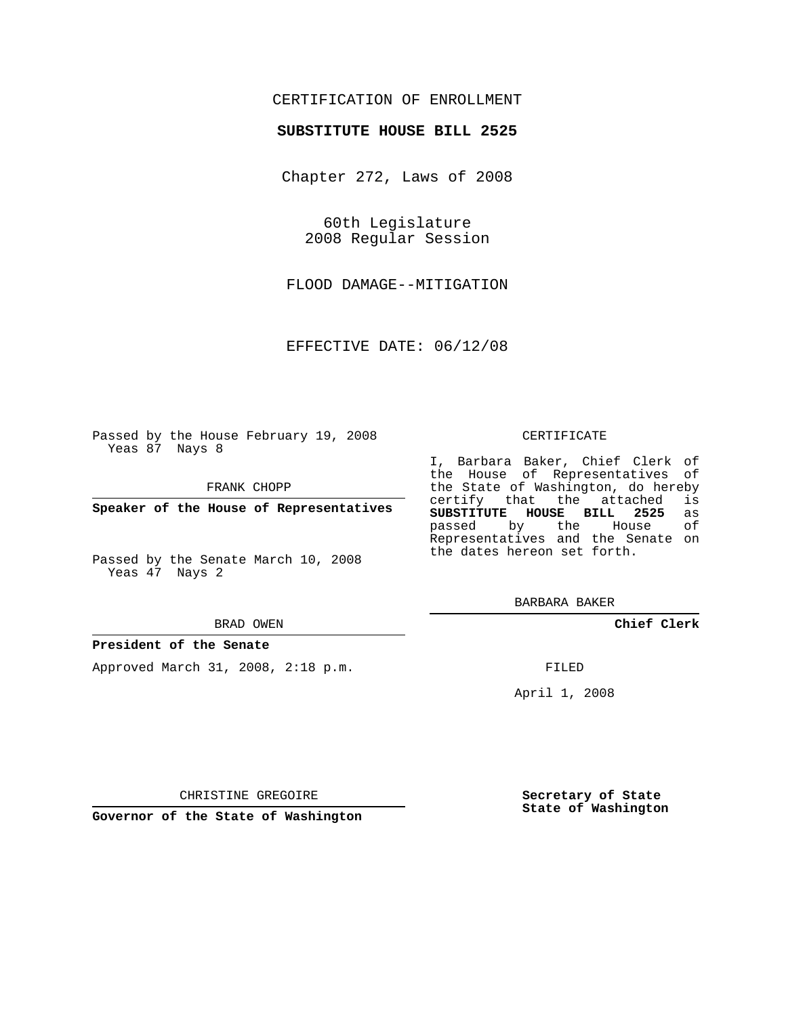# CERTIFICATION OF ENROLLMENT

## **SUBSTITUTE HOUSE BILL 2525**

Chapter 272, Laws of 2008

60th Legislature 2008 Regular Session

FLOOD DAMAGE--MITIGATION

EFFECTIVE DATE: 06/12/08

Passed by the House February 19, 2008 Yeas 87 Nays 8

FRANK CHOPP

**Speaker of the House of Representatives**

Passed by the Senate March 10, 2008 Yeas 47 Nays 2

#### BRAD OWEN

### **President of the Senate**

Approved March 31, 2008, 2:18 p.m.

#### CERTIFICATE

I, Barbara Baker, Chief Clerk of the House of Representatives of the State of Washington, do hereby<br>certify that the attached is certify that the attached **SUBSTITUTE HOUSE BILL 2525** as passed by the House Representatives and the Senate on the dates hereon set forth.

BARBARA BAKER

**Chief Clerk**

FILED

April 1, 2008

**Secretary of State State of Washington**

CHRISTINE GREGOIRE

**Governor of the State of Washington**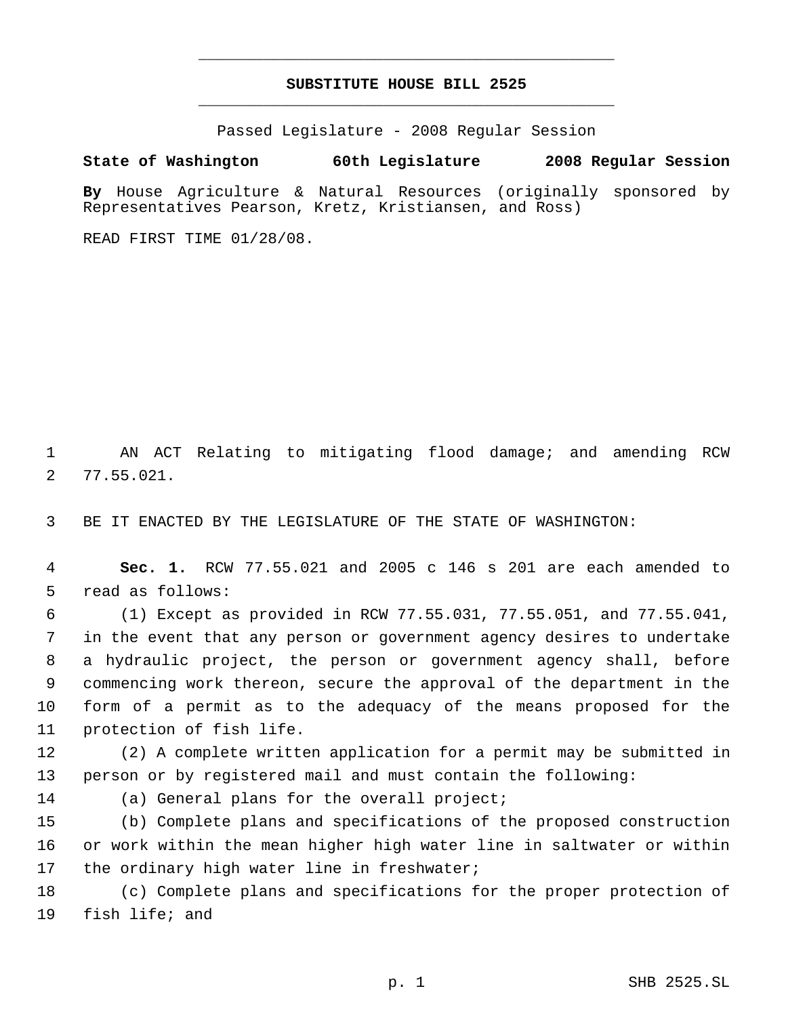# **SUBSTITUTE HOUSE BILL 2525** \_\_\_\_\_\_\_\_\_\_\_\_\_\_\_\_\_\_\_\_\_\_\_\_\_\_\_\_\_\_\_\_\_\_\_\_\_\_\_\_\_\_\_\_\_

\_\_\_\_\_\_\_\_\_\_\_\_\_\_\_\_\_\_\_\_\_\_\_\_\_\_\_\_\_\_\_\_\_\_\_\_\_\_\_\_\_\_\_\_\_

Passed Legislature - 2008 Regular Session

## **State of Washington 60th Legislature 2008 Regular Session**

**By** House Agriculture & Natural Resources (originally sponsored by Representatives Pearson, Kretz, Kristiansen, and Ross)

READ FIRST TIME 01/28/08.

 AN ACT Relating to mitigating flood damage; and amending RCW 77.55.021.

BE IT ENACTED BY THE LEGISLATURE OF THE STATE OF WASHINGTON:

 **Sec. 1.** RCW 77.55.021 and 2005 c 146 s 201 are each amended to read as follows:

 (1) Except as provided in RCW 77.55.031, 77.55.051, and 77.55.041, in the event that any person or government agency desires to undertake a hydraulic project, the person or government agency shall, before commencing work thereon, secure the approval of the department in the form of a permit as to the adequacy of the means proposed for the protection of fish life.

 (2) A complete written application for a permit may be submitted in person or by registered mail and must contain the following:

(a) General plans for the overall project;

 (b) Complete plans and specifications of the proposed construction or work within the mean higher high water line in saltwater or within 17 the ordinary high water line in freshwater;

 (c) Complete plans and specifications for the proper protection of fish life; and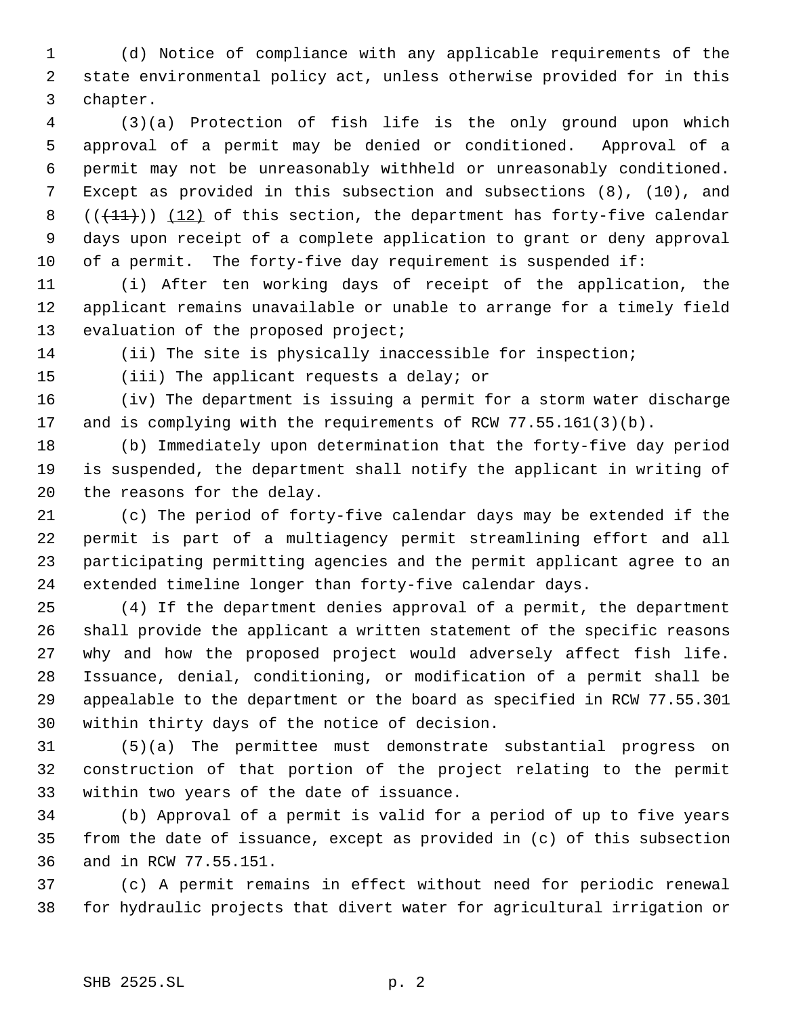(d) Notice of compliance with any applicable requirements of the state environmental policy act, unless otherwise provided for in this chapter.

 (3)(a) Protection of fish life is the only ground upon which approval of a permit may be denied or conditioned. Approval of a permit may not be unreasonably withheld or unreasonably conditioned. Except as provided in this subsection and subsections (8), (10), and  $((+11))$   $(12)$  of this section, the department has forty-five calendar days upon receipt of a complete application to grant or deny approval of a permit. The forty-five day requirement is suspended if:

 (i) After ten working days of receipt of the application, the applicant remains unavailable or unable to arrange for a timely field 13 evaluation of the proposed project;

(ii) The site is physically inaccessible for inspection;

(iii) The applicant requests a delay; or

 (iv) The department is issuing a permit for a storm water discharge and is complying with the requirements of RCW 77.55.161(3)(b).

 (b) Immediately upon determination that the forty-five day period is suspended, the department shall notify the applicant in writing of the reasons for the delay.

 (c) The period of forty-five calendar days may be extended if the permit is part of a multiagency permit streamlining effort and all participating permitting agencies and the permit applicant agree to an extended timeline longer than forty-five calendar days.

 (4) If the department denies approval of a permit, the department shall provide the applicant a written statement of the specific reasons why and how the proposed project would adversely affect fish life. Issuance, denial, conditioning, or modification of a permit shall be appealable to the department or the board as specified in RCW 77.55.301 within thirty days of the notice of decision.

 (5)(a) The permittee must demonstrate substantial progress on construction of that portion of the project relating to the permit within two years of the date of issuance.

 (b) Approval of a permit is valid for a period of up to five years from the date of issuance, except as provided in (c) of this subsection and in RCW 77.55.151.

 (c) A permit remains in effect without need for periodic renewal for hydraulic projects that divert water for agricultural irrigation or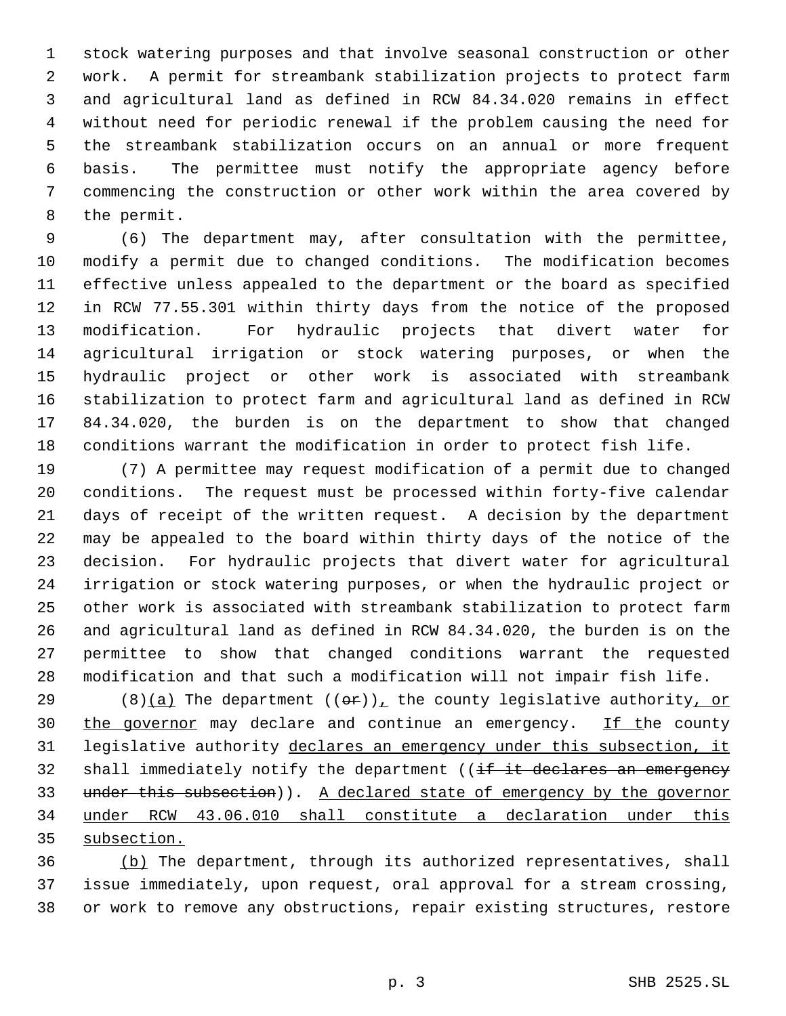stock watering purposes and that involve seasonal construction or other work. A permit for streambank stabilization projects to protect farm and agricultural land as defined in RCW 84.34.020 remains in effect without need for periodic renewal if the problem causing the need for the streambank stabilization occurs on an annual or more frequent basis. The permittee must notify the appropriate agency before commencing the construction or other work within the area covered by the permit.

 (6) The department may, after consultation with the permittee, modify a permit due to changed conditions. The modification becomes effective unless appealed to the department or the board as specified in RCW 77.55.301 within thirty days from the notice of the proposed modification. For hydraulic projects that divert water for agricultural irrigation or stock watering purposes, or when the hydraulic project or other work is associated with streambank stabilization to protect farm and agricultural land as defined in RCW 84.34.020, the burden is on the department to show that changed conditions warrant the modification in order to protect fish life.

 (7) A permittee may request modification of a permit due to changed conditions. The request must be processed within forty-five calendar days of receipt of the written request. A decision by the department may be appealed to the board within thirty days of the notice of the decision. For hydraulic projects that divert water for agricultural irrigation or stock watering purposes, or when the hydraulic project or other work is associated with streambank stabilization to protect farm and agricultural land as defined in RCW 84.34.020, the burden is on the permittee to show that changed conditions warrant the requested modification and that such a modification will not impair fish life.

29 (8)(a) The department  $((\theta \cdot r))_+$  the county legislative authority, or 30 the governor may declare and continue an emergency. If the county legislative authority declares an emergency under this subsection, it 32 shall immediately notify the department ((if it declares an emergency 33 under this subsection)). A declared state of emergency by the governor under RCW 43.06.010 shall constitute a declaration under this subsection.

 (b) The department, through its authorized representatives, shall issue immediately, upon request, oral approval for a stream crossing, or work to remove any obstructions, repair existing structures, restore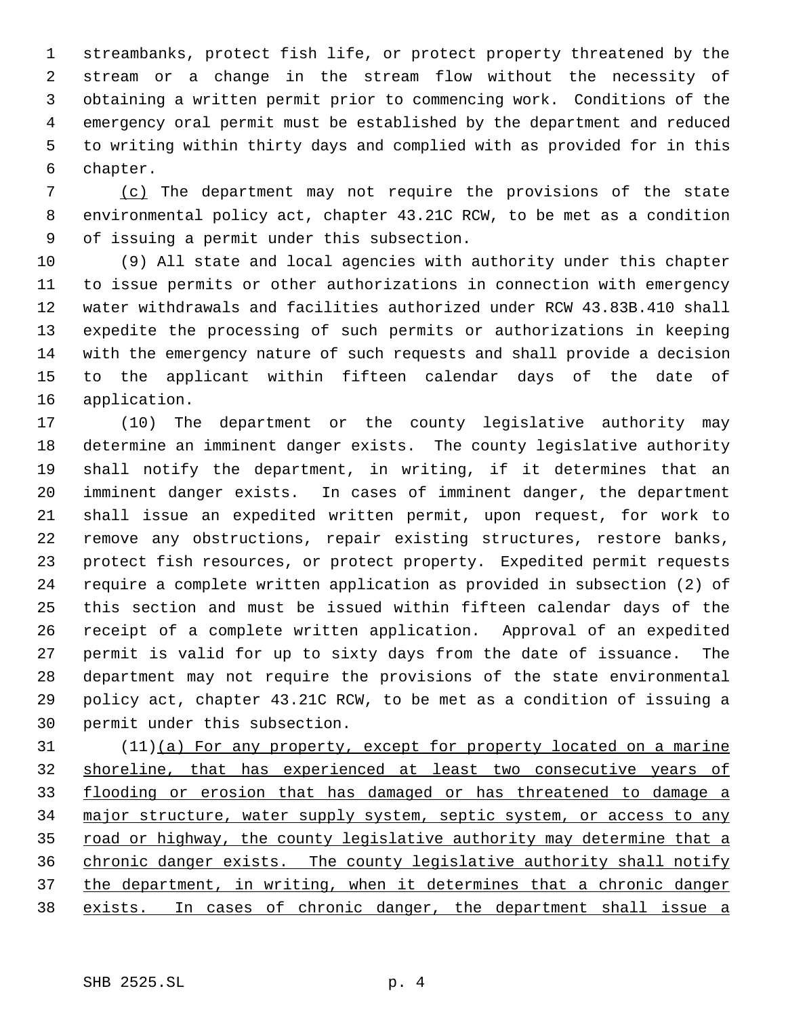streambanks, protect fish life, or protect property threatened by the stream or a change in the stream flow without the necessity of obtaining a written permit prior to commencing work. Conditions of the emergency oral permit must be established by the department and reduced to writing within thirty days and complied with as provided for in this chapter.

 (c) The department may not require the provisions of the state environmental policy act, chapter 43.21C RCW, to be met as a condition of issuing a permit under this subsection.

 (9) All state and local agencies with authority under this chapter to issue permits or other authorizations in connection with emergency water withdrawals and facilities authorized under RCW 43.83B.410 shall expedite the processing of such permits or authorizations in keeping with the emergency nature of such requests and shall provide a decision to the applicant within fifteen calendar days of the date of application.

 (10) The department or the county legislative authority may determine an imminent danger exists. The county legislative authority shall notify the department, in writing, if it determines that an imminent danger exists. In cases of imminent danger, the department shall issue an expedited written permit, upon request, for work to remove any obstructions, repair existing structures, restore banks, protect fish resources, or protect property. Expedited permit requests require a complete written application as provided in subsection (2) of this section and must be issued within fifteen calendar days of the receipt of a complete written application. Approval of an expedited permit is valid for up to sixty days from the date of issuance. The department may not require the provisions of the state environmental policy act, chapter 43.21C RCW, to be met as a condition of issuing a permit under this subsection.

 (11)(a) For any property, except for property located on a marine shoreline, that has experienced at least two consecutive years of flooding or erosion that has damaged or has threatened to damage a 34 major structure, water supply system, septic system, or access to any 35 road or highway, the county legislative authority may determine that a chronic danger exists. The county legislative authority shall notify the department, in writing, when it determines that a chronic danger exists. In cases of chronic danger, the department shall issue a